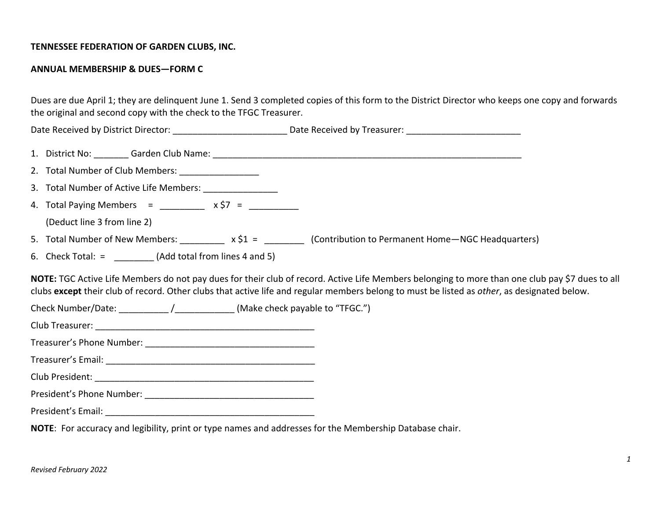## **TENNESSEE FEDERATION OF GARDEN CLUBS, INC.**

## **ANNUAL MEMBERSHIP & DUES—FORM C**

Dues are due April 1; they are delinquent June 1. Send 3 completed copies of this form to the District Director who keeps one copy and forwards the original and second copy with the check to the TFGC Treasurer.

Date Received by District Director: \_\_\_\_\_\_\_\_\_\_\_\_\_\_\_\_\_\_\_\_\_\_\_ Date Received by Treasurer: \_\_\_\_\_\_\_\_\_\_\_\_\_\_\_\_\_\_\_\_\_\_\_

- 1. District No: \_\_\_\_\_\_\_ Garden Club Name: \_\_\_\_\_\_\_\_\_\_\_\_\_\_\_\_\_\_\_\_\_\_\_\_\_\_\_\_\_\_\_\_\_\_\_\_\_\_\_\_\_\_\_\_\_\_\_\_\_\_\_\_\_\_\_\_\_\_\_\_\_\_
- 2. Total Number of Club Members: \_\_\_\_\_\_\_\_\_\_\_\_\_
- 3. Total Number of Active Life Members:
- 4. Total Paying Members =  $x \succeq 7$  =

(Deduct line 3 from line 2)

- 5. Total Number of New Members:  $x \xi_1 =$  (Contribution to Permanent Home—NGC Headquarters)
- 6. Check Total:  $=$  (Add total from lines 4 and 5)

**NOTE:** TGC Active Life Members do not pay dues for their club of record. Active Life Members belonging to more than one club pay \$7 dues to all clubs **except** their club of record. Other clubs that active life and regular members belong to must be listed as *other*, as designated below.

- Check Number/Date: \_\_\_\_\_\_\_\_\_\_\_\_\_\_\_\_\_\_\_\_\_\_\_\_\_\_\_\_\_\_\_\_\_\_(Make check payable to "TFGC.")
- Club Treasurer: \_\_\_\_\_\_\_\_\_\_\_\_\_\_\_\_\_\_\_\_\_\_\_\_\_\_\_\_\_\_\_\_\_\_\_\_\_\_\_\_\_\_\_\_
- Treasurer's Phone Number: \_\_\_\_\_\_\_\_\_\_\_\_\_\_\_\_\_\_\_\_\_\_\_\_\_\_\_\_\_\_\_\_\_\_

Treasurer's Email: \_\_\_\_\_\_\_\_\_\_\_\_\_\_\_\_\_\_\_\_\_\_\_\_\_\_\_\_\_\_\_\_\_\_\_\_\_\_\_\_\_\_

Club President: \_\_\_\_\_\_\_\_\_\_\_\_\_\_\_\_\_\_\_\_\_\_\_\_\_\_\_\_\_\_\_\_\_\_\_\_\_\_\_\_\_\_\_\_

President's Phone Number: \_\_\_\_\_\_\_\_\_\_\_\_\_\_\_\_\_\_\_\_\_\_\_\_\_\_\_\_\_\_\_\_\_\_

President's Email: \_\_\_\_\_\_\_\_\_\_\_\_\_\_\_\_\_\_\_\_\_\_\_\_\_\_\_\_\_\_\_\_\_\_\_\_\_\_\_\_\_\_

**NOTE**: For accuracy and legibility, print or type names and addresses for the Membership Database chair.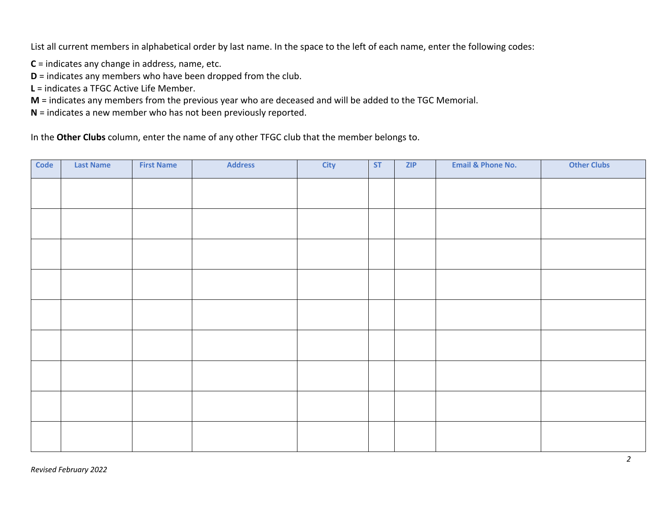List all current members in alphabetical order by last name. In the space to the left of each name, enter the following codes:

**C** = indicates any change in address, name, etc.

**D** = indicates any members who have been dropped from the club.

**L** = indicates a TFGC Active Life Member.

**M** = indicates any members from the previous year who are deceased and will be added to the TGC Memorial.

**N** = indicates a new member who has not been previously reported.

In the **Other Clubs** column, enter the name of any other TFGC club that the member belongs to.

| Code | <b>Last Name</b> | <b>First Name</b> | <b>Address</b> | <b>City</b> | <b>ST</b> | <b>ZIP</b> | <b>Email &amp; Phone No.</b> | <b>Other Clubs</b> |
|------|------------------|-------------------|----------------|-------------|-----------|------------|------------------------------|--------------------|
|      |                  |                   |                |             |           |            |                              |                    |
|      |                  |                   |                |             |           |            |                              |                    |
|      |                  |                   |                |             |           |            |                              |                    |
|      |                  |                   |                |             |           |            |                              |                    |
|      |                  |                   |                |             |           |            |                              |                    |
|      |                  |                   |                |             |           |            |                              |                    |
|      |                  |                   |                |             |           |            |                              |                    |
|      |                  |                   |                |             |           |            |                              |                    |
|      |                  |                   |                |             |           |            |                              |                    |